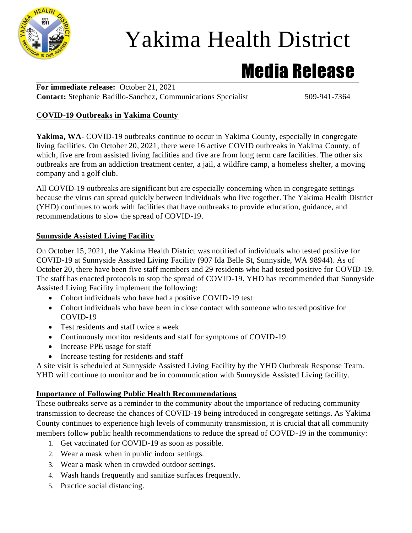

# Yakima Health District

### Media Release

**For immediate release:** October 21, 2021 **Contact:** Stephanie Badillo-Sanchez, Communications Specialist 509-941-7364

#### **COVID-19 Outbreaks in Yakima County**

Yakima, WA- COVID-19 outbreaks continue to occur in Yakima County, especially in congregate living facilities. On October 20, 2021, there were 16 active COVID outbreaks in Yakima County, of which, five are from assisted living facilities and five are from long term care facilities. The other six outbreaks are from an addiction treatment center, a jail, a wildfire camp, a homeless shelter, a moving company and a golf club.

All COVID-19 outbreaks are significant but are especially concerning when in congregate settings because the virus can spread quickly between individuals who live together. The Yakima Health District (YHD) continues to work with facilities that have outbreaks to provide education, guidance, and recommendations to slow the spread of COVID-19.

#### **Sunnyside Assisted Living Facility**

On October 15, 2021, the Yakima Health District was notified of individuals who tested positive for COVID-19 at Sunnyside Assisted Living Facility (907 Ida Belle St, Sunnyside, WA 98944). As of October 20, there have been five staff members and 29 residents who had tested positive for COVID-19. The staff has enacted protocols to stop the spread of COVID-19. YHD has recommended that Sunnyside Assisted Living Facility implement the following:

- Cohort individuals who have had a positive COVID-19 test
- Cohort individuals who have been in close contact with someone who tested positive for COVID-19
- Test residents and staff twice a week
- Continuously monitor residents and staff for symptoms of COVID-19
- Increase PPE usage for staff
- Increase testing for residents and staff

A site visit is scheduled at Sunnyside Assisted Living Facility by the YHD Outbreak Response Team. YHD will continue to monitor and be in communication with Sunnyside Assisted Living facility.

#### **Importance of Following Public Health Recommendations**

These outbreaks serve as a reminder to the community about the importance of reducing community transmission to decrease the chances of COVID-19 being introduced in congregate settings. As Yakima County continues to experience high levels of community transmission, it is crucial that all community members follow public health recommendations to reduce the spread of COVID-19 in the community:

- 1. Get vaccinated for COVID-19 as soon as possible.
- 2. Wear a mask when in public indoor settings.
- 3. Wear a mask when in crowded outdoor settings.
- 4. Wash hands frequently and sanitize surfaces frequently.
- 5. Practice social distancing.